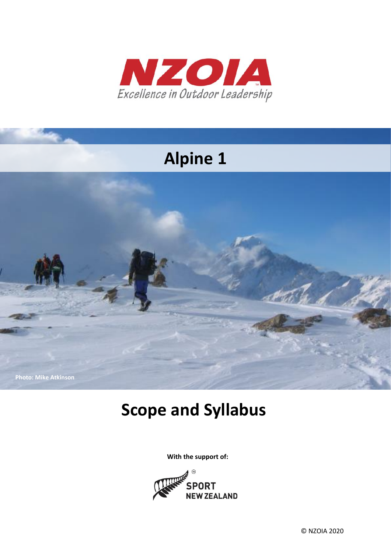

# **Alpine 1**



# **Scope and Syllabus**

**With the support of:**

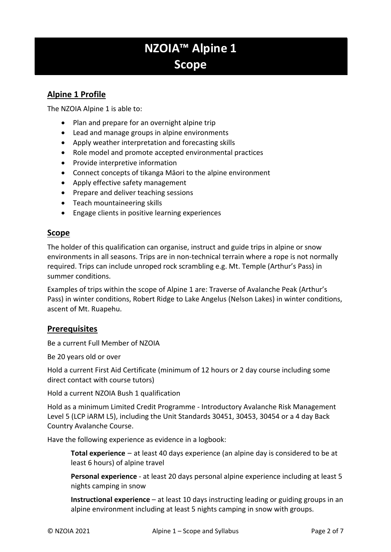# **NZOIA™ Alpine 1 Scope**

# **Alpine 1 Profile**

The NZOIA Alpine 1 is able to:

- Plan and prepare for an overnight alpine trip
- Lead and manage groups in alpine environments
- Apply weather interpretation and forecasting skills
- Role model and promote accepted environmental practices
- Provide interpretive information
- Connect concepts of tikanga Māori to the alpine environment
- Apply effective safety management
- Prepare and deliver teaching sessions
- Teach mountaineering skills
- Engage clients in positive learning experiences

# **Scope**

The holder of this qualification can organise, instruct and guide trips in alpine or snow environments in all seasons. Trips are in non-technical terrain where a rope is not normally required. Trips can include unroped rock scrambling e.g. Mt. Temple (Arthur's Pass) in summer conditions.

Examples of trips within the scope of Alpine 1 are: Traverse of Avalanche Peak (Arthur's Pass) in winter conditions, Robert Ridge to Lake Angelus (Nelson Lakes) in winter conditions, ascent of Mt. Ruapehu.

# **Prerequisites**

Be a current Full Member of NZOIA

Be 20 years old or over

Hold a current First Aid Certificate (minimum of 12 hours or 2 day course including some direct contact with course tutors)

Hold a current NZOIA Bush 1 qualification

Hold as a minimum Limited Credit Programme - Introductory Avalanche Risk Management Level 5 (LCP iARM L5), including the Unit Standards 30451, 30453, 30454 or a 4 day Back Country Avalanche Course.

Have the following experience as evidence in a logbook:

**Total experience** – at least 40 days experience (an alpine day is considered to be at least 6 hours) of alpine travel

**Personal experience** - at least 20 days personal alpine experience including at least 5 nights camping in snow

**Instructional experience** – at least 10 days instructing leading or guiding groups in an alpine environment including at least 5 nights camping in snow with groups.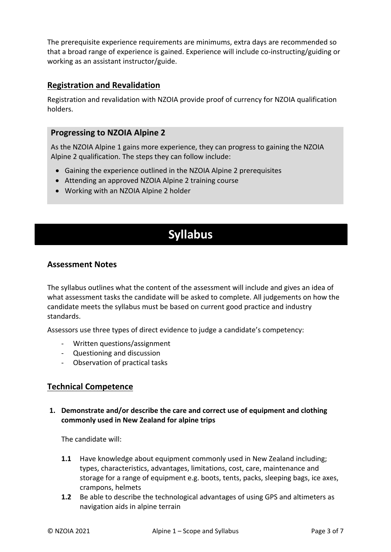The prerequisite experience requirements are minimums, extra days are recommended so that a broad range of experience is gained. Experience will include co-instructing/guiding or working as an assistant instructor/guide.

# **Registration and Revalidation**

Registration and revalidation with NZOIA provide proof of currency for NZOIA qualification holders.

# **Progressing to NZOIA Alpine 2**

As the NZOIA Alpine 1 gains more experience, they can progress to gaining the NZOIA Alpine 2 qualification. The steps they can follow include:

- Gaining the experience outlined in the NZOIA Alpine 2 prerequisites
- Attending an approved NZOIA Alpine 2 training course
- Working with an NZOIA Alpine 2 holder

# **Syllabus**

# **Assessment Notes**

The syllabus outlines what the content of the assessment will include and gives an idea of what assessment tasks the candidate will be asked to complete. All judgements on how the candidate meets the syllabus must be based on current good practice and industry standards.

Assessors use three types of direct evidence to judge a candidate's competency:

- Written questions/assignment
- Questioning and discussion
- Observation of practical tasks

# **Technical Competence**

#### **1. Demonstrate and/or describe the care and correct use of equipment and clothing commonly used in New Zealand for alpine trips**

The candidate will:

- **1.1** Have knowledge about equipment commonly used in New Zealand including; types, characteristics, advantages, limitations, cost, care, maintenance and storage for a range of equipment e.g. boots, tents, packs, sleeping bags, ice axes, crampons, helmets
- **1.2** Be able to describe the technological advantages of using GPS and altimeters as navigation aids in alpine terrain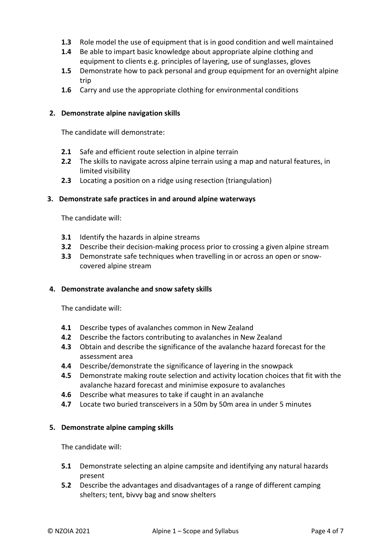- **1.3** Role model the use of equipment that is in good condition and well maintained
- **1.4** Be able to impart basic knowledge about appropriate alpine clothing and equipment to clients e.g. principles of layering, use of sunglasses, gloves
- **1.5** Demonstrate how to pack personal and group equipment for an overnight alpine trip
- **1.6** Carry and use the appropriate clothing for environmental conditions

#### **2. Demonstrate alpine navigation skills**

The candidate will demonstrate:

- **2.1** Safe and efficient route selection in alpine terrain
- **2.2** The skills to navigate across alpine terrain using a map and natural features, in limited visibility
- **2.3** Locating a position on a ridge using resection (triangulation)

#### **3. Demonstrate safe practices in and around alpine waterways**

The candidate will:

- **3.1** Identify the hazards in alpine streams
- **3.2** Describe their decision-making process prior to crossing a given alpine stream
- **3.3** Demonstrate safe techniques when travelling in or across an open or snowcovered alpine stream

#### **4. Demonstrate avalanche and snow safety skills**

The candidate will:

- **4.1** Describe types of avalanches common in New Zealand
- **4.2** Describe the factors contributing to avalanches in New Zealand
- **4.3** Obtain and describe the significance of the avalanche hazard forecast for the assessment area
- **4.4** Describe/demonstrate the significance of layering in the snowpack
- **4.5** Demonstrate making route selection and activity location choices that fit with the avalanche hazard forecast and minimise exposure to avalanches
- **4.6** Describe what measures to take if caught in an avalanche
- **4.7** Locate two buried transceivers in a 50m by 50m area in under 5 minutes

#### **5. Demonstrate alpine camping skills**

The candidate will:

- **5.1** Demonstrate selecting an alpine campsite and identifying any natural hazards present
- **5.2** Describe the advantages and disadvantages of a range of different camping shelters; tent, bivvy bag and snow shelters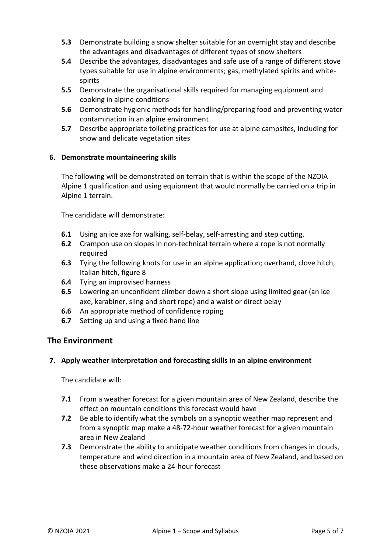- **5.3** Demonstrate building a snow shelter suitable for an overnight stay and describe the advantages and disadvantages of different types of snow shelters
- **5.4** Describe the advantages, disadvantages and safe use of a range of different stove types suitable for use in alpine environments; gas, methylated spirits and whitespirits
- **5.5** Demonstrate the organisational skills required for managing equipment and cooking in alpine conditions
- **5.6** Demonstrate hygienic methods for handling/preparing food and preventing water contamination in an alpine environment
- **5.7** Describe appropriate toileting practices for use at alpine campsites, including for snow and delicate vegetation sites

## **6. Demonstrate mountaineering skills**

The following will be demonstrated on terrain that is within the scope of the NZOIA Alpine 1 qualification and using equipment that would normally be carried on a trip in Alpine 1 terrain.

The candidate will demonstrate:

- **6.1** Using an ice axe for walking, self-belay, self-arresting and step cutting.
- **6.2** Crampon use on slopes in non-technical terrain where a rope is not normally required
- **6.3** Tying the following knots for use in an alpine application; overhand, clove hitch, Italian hitch, figure 8
- **6.4** Tying an improvised harness
- **6.5** Lowering an unconfident climber down a short slope using limited gear (an ice axe, karabiner, sling and short rope) and a waist or direct belay
- **6.6** An appropriate method of confidence roping
- **6.7** Setting up and using a fixed hand line

## **The Environment**

#### **7. Apply weather interpretation and forecasting skills in an alpine environment**

The candidate will:

- **7.1** From a weather forecast for a given mountain area of New Zealand, describe the effect on mountain conditions this forecast would have
- **7.2** Be able to identify what the symbols on a synoptic weather map represent and from a synoptic map make a 48-72-hour weather forecast for a given mountain area in New Zealand
- **7.3** Demonstrate the ability to anticipate weather conditions from changes in clouds, temperature and wind direction in a mountain area of New Zealand, and based on these observations make a 24-hour forecast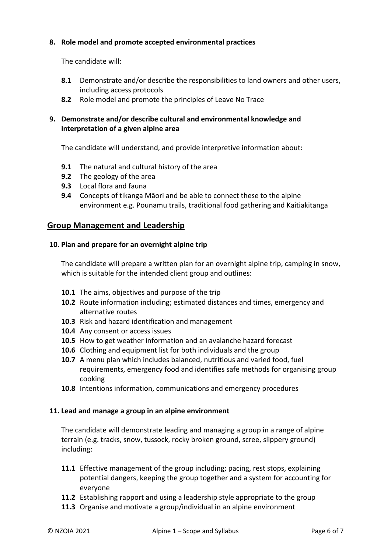#### **8. Role model and promote accepted environmental practices**

The candidate will:

- **8.1** Demonstrate and/or describe the responsibilities to land owners and other users, including access protocols
- **8.2** Role model and promote the principles of Leave No Trace

## **9. Demonstrate and/or describe cultural and environmental knowledge and interpretation of a given alpine area**

The candidate will understand, and provide interpretive information about:

- **9.1** The natural and cultural history of the area
- **9.2** The geology of the area
- **9.3** Local flora and fauna
- **9.4** Concepts of tikanga Māori and be able to connect these to the alpine environment e.g. Pounamu trails, traditional food gathering and Kaitiakitanga

# **Group Management and Leadership**

#### **10. Plan and prepare for an overnight alpine trip**

The candidate will prepare a written plan for an overnight alpine trip, camping in snow, which is suitable for the intended client group and outlines:

- **10.1** The aims, objectives and purpose of the trip
- **10.2** Route information including; estimated distances and times, emergency and alternative routes
- **10.3** Risk and hazard identification and management
- **10.4** Any consent or access issues
- **10.5** How to get weather information and an avalanche hazard forecast
- **10.6** Clothing and equipment list for both individuals and the group
- **10.7** A menu plan which includes balanced, nutritious and varied food, fuel requirements, emergency food and identifies safe methods for organising group cooking
- **10.8** Intentions information, communications and emergency procedures

#### **11. Lead and manage a group in an alpine environment**

The candidate will demonstrate leading and managing a group in a range of alpine terrain (e.g. tracks, snow, tussock, rocky broken ground, scree, slippery ground) including:

- **11.1** Effective management of the group including; pacing, rest stops, explaining potential dangers, keeping the group together and a system for accounting for everyone
- **11.2** Establishing rapport and using a leadership style appropriate to the group
- **11.3** Organise and motivate a group/individual in an alpine environment